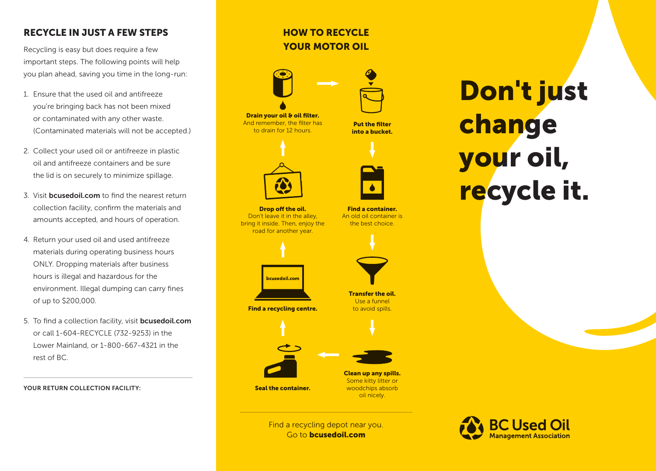## RECYCLE IN JUST A FEW STEPS

Recycling is easy but does require a few important steps. The following points will help you plan ahead, saving you time in the long-run:

- 1. Ensure that the used oil and antifreeze you're bringing back has not been mixed or contaminated with any other waste. (Contaminated materials will not be accepted.)
- 2. Collect your used oil or antifreeze in plastic oil and antifreeze containers and be sure the lid is on securely to minimize spillage.
- 3. Visit **bcusedoil.com** to find the nearest return collection facility, confirm the materials and amounts accepted, and hours of operation.
- 4. Return your used oil and used antifreeze materials during operating business hours ONLY. Dropping materials after business hours is illegal and hazardous for the environment. Illegal dumping can carry fines of up to \$200,000.
- 5. To find a collection facility, visit **bcusedoil.com** or call 1-604-RECYCLE (732-9253) in the Lower Mainland, or 1-800-667-4321 in the rest of BC.

YOUR RETURN COLLECTION FACILITY:

# HOW TO RECYCLE YOUR MOTOR OIL



Drain your oil & oil filter. And remember, the filter has to drain for 12 hours.

Put the filter into a bucket.

Find a container. An old oil container is the best choice.



Drop off the oil. Don't leave it in the alley, bring it inside. Then, enjoy the road for another year.



Find a recycling centre.



to avoid spills.

Transfer the oil. Use a funnel



Some kitty litter or woodchips absorb oil nicely.

Find a recycling depot near you. Go to bcusedoil.com